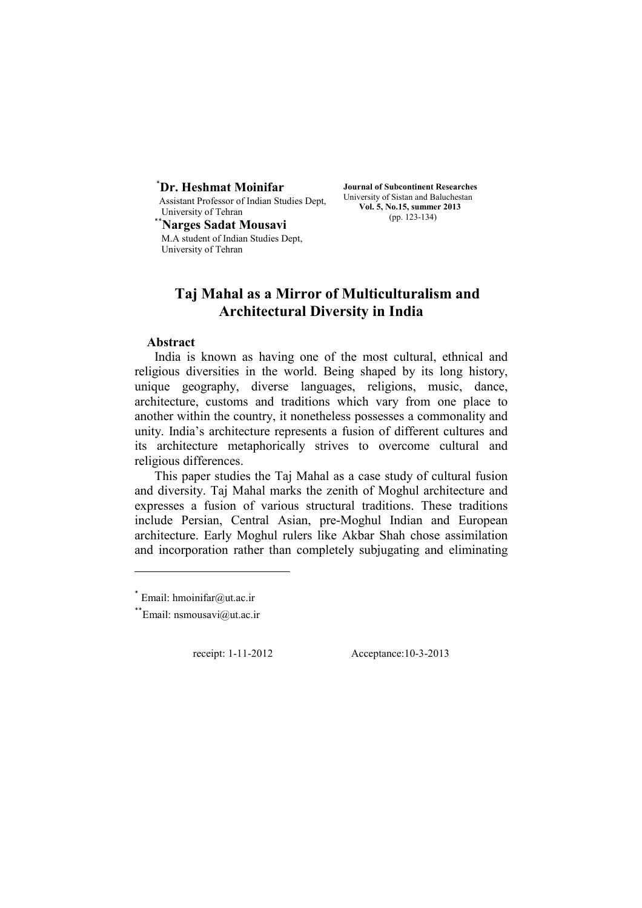# \* **Dr. Heshmat Moinifar**

Assistant Professor of Indian Studies Dept, University of Tehran

\*\***Narges Sadat Mousavi** M.A student of Indian Studies Dept, University of Tehran

**Journal of Subcontinent Researches**  University of Sistan and Baluchestan **Vol. 5, No.15, summer 2013**  (pp. 123-134)

# **Taj Mahal as a Mirror of Multiculturalism and Architectural Diversity in India**

# **Abstract**

India is known as having one of the most cultural, ethnical and religious diversities in the world. Being shaped by its long history, unique geography, diverse languages, religions, music, dance, architecture, customs and traditions which vary from one place to another within the country, it nonetheless possesses a commonality and unity. India's architecture represents a fusion of different cultures and its architecture metaphorically strives to overcome cultural and religious differences.

This paper studies the Taj Mahal as a case study of cultural fusion and diversity. Taj Mahal marks the zenith of Moghul architecture and expresses a fusion of various structural traditions. These traditions include Persian, Central Asian, pre-Moghul Indian and European architecture. Early Moghul rulers like Akbar Shah chose assimilation and incorporation rather than completely subjugating and eliminating

receipt: 1-11-2012 Acceptance:10-3-2013

 $*$  Email: hmoinifar@ut.ac.ir

<sup>\*\*</sup>Email: nsmousavi@ut.ac.ir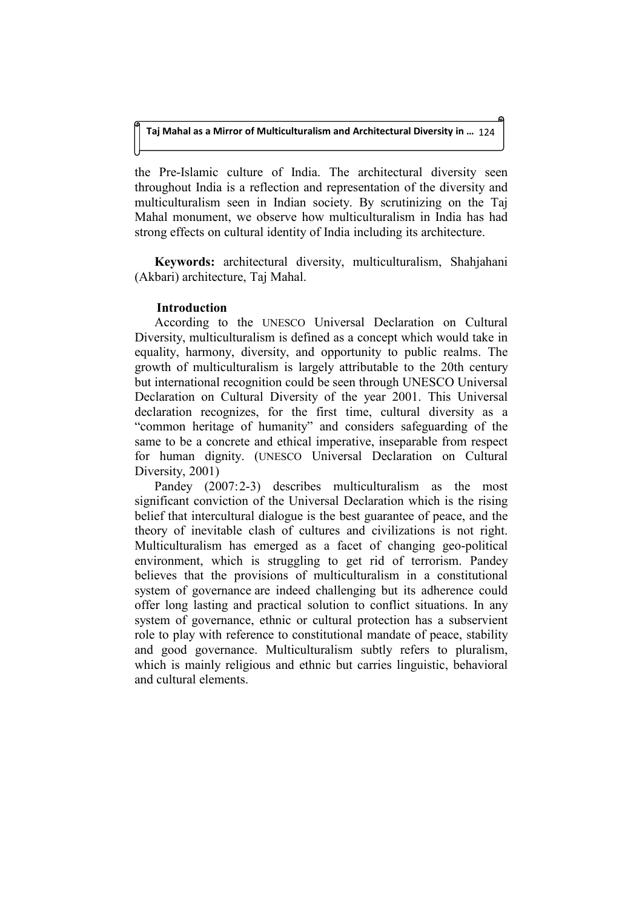the Pre-Islamic culture of India. The architectural diversity seen throughout India is a reflection and representation of the diversity and multiculturalism seen in Indian society. By scrutinizing on the Taj Mahal monument, we observe how multiculturalism in India has had strong effects on cultural identity of India including its architecture.

**Keywords:** architectural diversity, multiculturalism, Shahjahani (Akbari) architecture, Taj Mahal.

# **Introduction**

According to the UNESCO Universal Declaration on Cultural Diversity, multiculturalism is defined as a concept which would take in equality, harmony, diversity, and opportunity to public realms. The growth of multiculturalism is largely attributable to the 20th century but international recognition could be seen through UNESCO Universal Declaration on Cultural Diversity of the year 2001. This Universal declaration recognizes, for the first time, cultural diversity as a "common heritage of humanity" and considers safeguarding of the same to be a concrete and ethical imperative, inseparable from respect for human dignity. (UNESCO Universal Declaration on Cultural Diversity, 2001)

Pandey (2007:2-3) describes multiculturalism as the most significant conviction of the Universal Declaration which is the rising belief that intercultural dialogue is the best guarantee of peace, and the theory of inevitable clash of cultures and civilizations is not right. Multiculturalism has emerged as a facet of changing geo-political environment, which is struggling to get rid of terrorism. Pandey believes that the provisions of multiculturalism in a constitutional system of governance are indeed challenging but its adherence could offer long lasting and practical solution to conflict situations. In any system of governance, ethnic or cultural protection has a subservient role to play with reference to constitutional mandate of peace, stability and good governance. Multiculturalism subtly refers to pluralism, which is mainly religious and ethnic but carries linguistic, behavioral and cultural elements.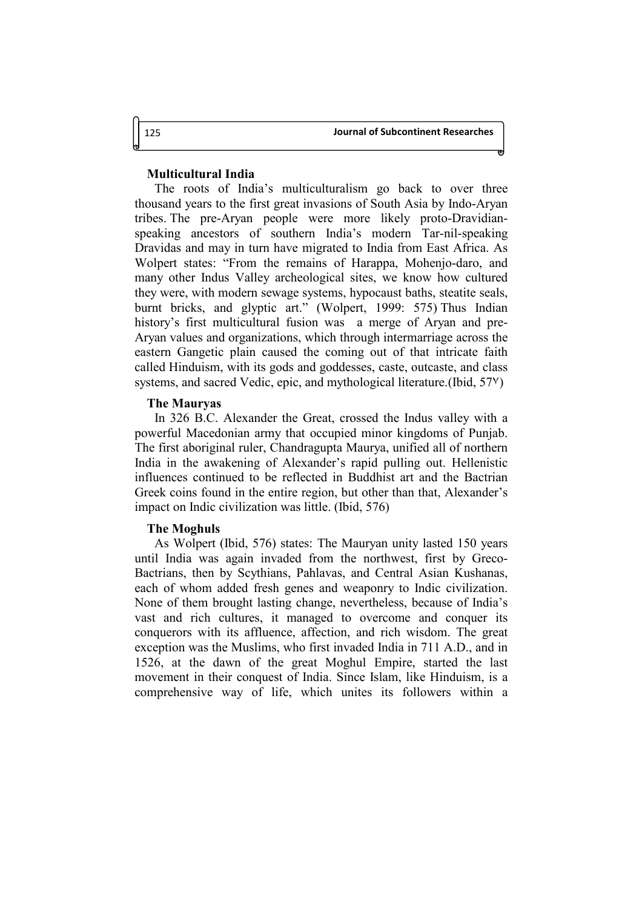# **Multicultural India**

The roots of India's multiculturalism go back to over three thousand years to the first great invasions of South Asia by Indo-Aryan tribes. The pre-Aryan people were more likely proto-Dravidianspeaking ancestors of southern India's modern Tar-nil-speaking Dravidas and may in turn have migrated to India from East Africa. As Wolpert states: "From the remains of Harappa, Mohenjo-daro, and many other Indus Valley archeological sites, we know how cultured they were, with modern sewage systems, hypocaust baths, steatite seals, burnt bricks, and glyptic art." (Wolpert, 1999: 575) Thus Indian history's first multicultural fusion was a merge of Aryan and pre-Aryan values and organizations, which through intermarriage across the eastern Gangetic plain caused the coming out of that intricate faith called Hinduism, with its gods and goddesses, caste, outcaste, and class systems, and sacred Vedic, epic, and mythological literature. (Ibid, 57<sup>y</sup>)

#### **The Mauryas**

In 326 B.C. Alexander the Great, crossed the Indus valley with a powerful Macedonian army that occupied minor kingdoms of Punjab. The first aboriginal ruler, Chandragupta Maurya, unified all of northern India in the awakening of Alexander's rapid pulling out. Hellenistic influences continued to be reflected in Buddhist art and the Bactrian Greek coins found in the entire region, but other than that, Alexander's impact on Indic civilization was little. (Ibid, 576)

#### **The Moghuls**

As Wolpert (Ibid, 576) states: The Mauryan unity lasted 150 years until India was again invaded from the northwest, first by Greco-Bactrians, then by Scythians, Pahlavas, and Central Asian Kushanas, each of whom added fresh genes and weaponry to Indic civilization. None of them brought lasting change, nevertheless, because of India's vast and rich cultures, it managed to overcome and conquer its conquerors with its affluence, affection, and rich wisdom. The great exception was the Muslims, who first invaded India in 711 A.D., and in 1526, at the dawn of the great Moghul Empire, started the last movement in their conquest of India. Since Islam, like Hinduism, is a comprehensive way of life, which unites its followers within a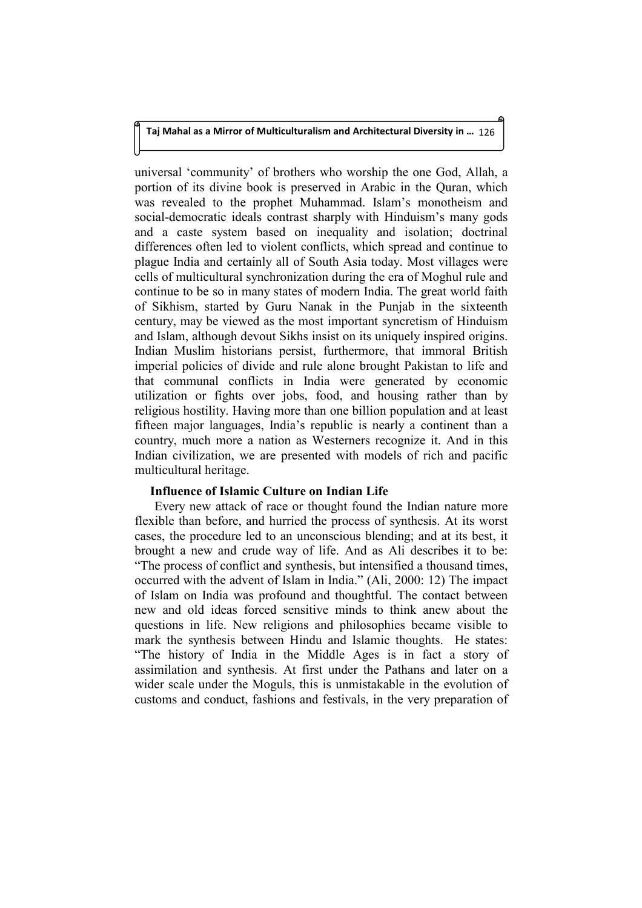universal 'community' of brothers who worship the one God, Allah, a portion of its divine book is preserved in Arabic in the Quran, which was revealed to the prophet Muhammad. Islam's monotheism and social-democratic ideals contrast sharply with Hinduism's many gods and a caste system based on inequality and isolation; doctrinal differences often led to violent conflicts, which spread and continue to plague India and certainly all of South Asia today. Most villages were cells of multicultural synchronization during the era of Moghul rule and continue to be so in many states of modern India. The great world faith of Sikhism, started by Guru Nanak in the Punjab in the sixteenth century, may be viewed as the most important syncretism of Hinduism and Islam, although devout Sikhs insist on its uniquely inspired origins. Indian Muslim historians persist, furthermore, that immoral British imperial policies of divide and rule alone brought Pakistan to life and that communal conflicts in India were generated by economic utilization or fights over jobs, food, and housing rather than by religious hostility. Having more than one billion population and at least fifteen major languages, India's republic is nearly a continent than a country, much more a nation as Westerners recognize it. And in this Indian civilization, we are presented with models of rich and pacific multicultural heritage.

# **Influence of Islamic Culture on Indian Life**

Every new attack of race or thought found the Indian nature more flexible than before, and hurried the process of synthesis. At its worst cases, the procedure led to an unconscious blending; and at its best, it brought a new and crude way of life. And as Ali describes it to be: "The process of conflict and synthesis, but intensified a thousand times, occurred with the advent of Islam in India." (Ali, 2000: 12) The impact of Islam on India was profound and thoughtful. The contact between new and old ideas forced sensitive minds to think anew about the questions in life. New religions and philosophies became visible to mark the synthesis between Hindu and Islamic thoughts. He states: "The history of India in the Middle Ages is in fact a story of assimilation and synthesis. At first under the Pathans and later on a wider scale under the Moguls, this is unmistakable in the evolution of customs and conduct, fashions and festivals, in the very preparation of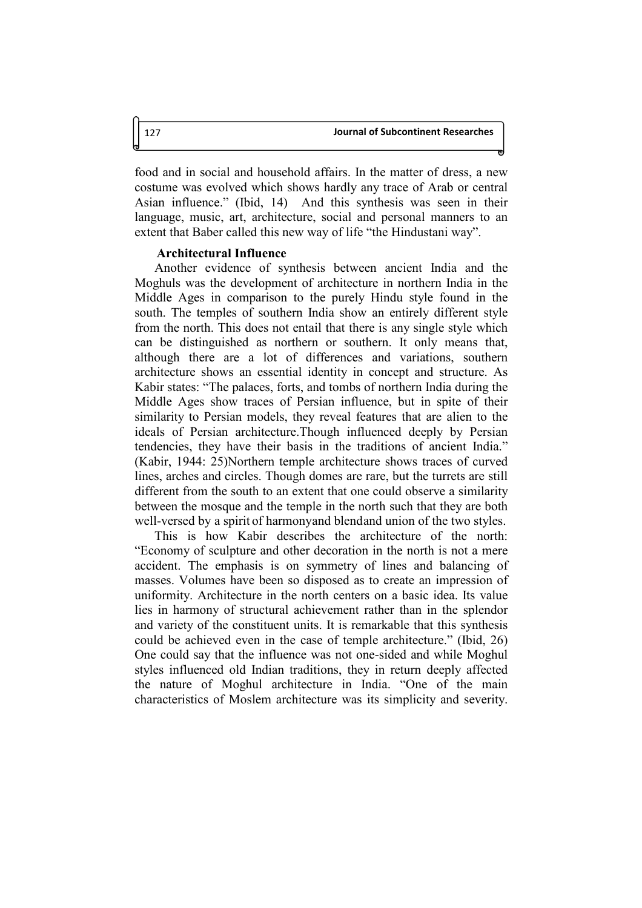food and in social and household affairs. In the matter of dress, a new costume was evolved which shows hardly any trace of Arab or central Asian influence." (Ibid, 14) And this synthesis was seen in their language, music, art, architecture, social and personal manners to an extent that Baber called this new way of life "the Hindustani way".

### **Architectural Influence**

Another evidence of synthesis between ancient India and the Moghuls was the development of architecture in northern India in the Middle Ages in comparison to the purely Hindu style found in the south. The temples of southern India show an entirely different style from the north. This does not entail that there is any single style which can be distinguished as northern or southern. It only means that, although there are a lot of differences and variations, southern architecture shows an essential identity in concept and structure. As Kabir states: "The palaces, forts, and tombs of northern India during the Middle Ages show traces of Persian influence, but in spite of their similarity to Persian models, they reveal features that are alien to the ideals of Persian architecture.Though influenced deeply by Persian tendencies, they have their basis in the traditions of ancient India." (Kabir, 1944: 25)Northern temple architecture shows traces of curved lines, arches and circles. Though domes are rare, but the turrets are still different from the south to an extent that one could observe a similarity between the mosque and the temple in the north such that they are both well-versed by a spirit of harmonyand blendand union of the two styles.

This is how Kabir describes the architecture of the north: "Economy of sculpture and other decoration in the north is not a mere accident. The emphasis is on symmetry of lines and balancing of masses. Volumes have been so disposed as to create an impression of uniformity. Architecture in the north centers on a basic idea. Its value lies in harmony of structural achievement rather than in the splendor and variety of the constituent units. It is remarkable that this synthesis could be achieved even in the case of temple architecture." (Ibid, 26) One could say that the influence was not one-sided and while Moghul styles influenced old Indian traditions, they in return deeply affected the nature of Moghul architecture in India. "One of the main characteristics of Moslem architecture was its simplicity and severity.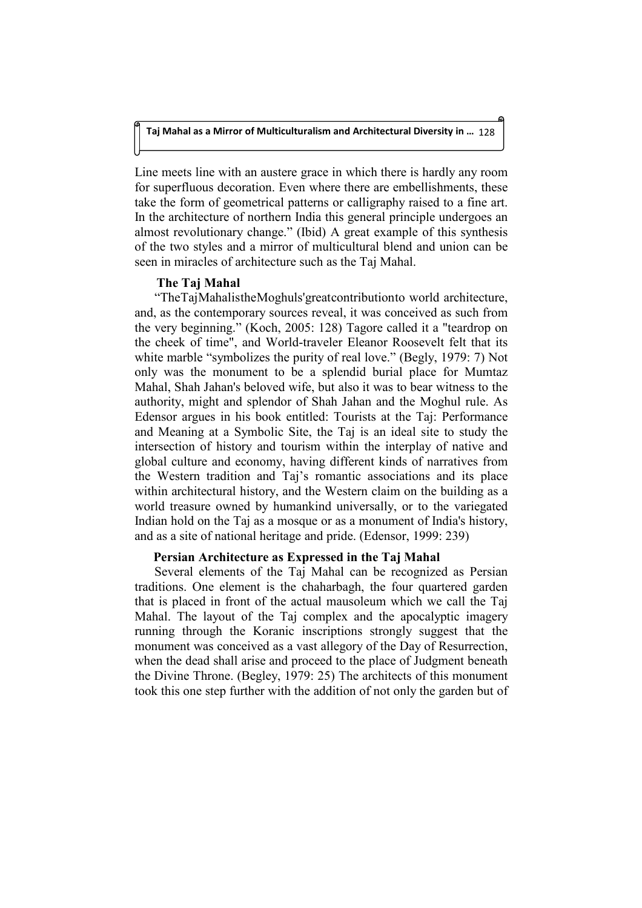Line meets line with an austere grace in which there is hardly any room for superfluous decoration. Even where there are embellishments, these take the form of geometrical patterns or calligraphy raised to a fine art. In the architecture of northern India this general principle undergoes an almost revolutionary change." (Ibid) A great example of this synthesis of the two styles and a mirror of multicultural blend and union can be seen in miracles of architecture such as the Taj Mahal.

## **The Taj Mahal**

"TheTajMahalistheMoghuls'greatcontributionto world architecture, and, as the contemporary sources reveal, it was conceived as such from the very beginning." (Koch, 2005: 128) Tagore called it a "teardrop on the cheek of time", and World-traveler Eleanor Roosevelt felt that its white marble "symbolizes the purity of real love." (Begly, 1979: 7) Not only was the monument to be a splendid burial place for Mumtaz Mahal, Shah Jahan's beloved wife, but also it was to bear witness to the authority, might and splendor of Shah Jahan and the Moghul rule. As Edensor argues in his book entitled: Tourists at the Taj: Performance and Meaning at a Symbolic Site, the Taj is an ideal site to study the intersection of history and tourism within the interplay of native and global culture and economy, having different kinds of narratives from the Western tradition and Taj's romantic associations and its place within architectural history, and the Western claim on the building as a world treasure owned by humankind universally, or to the variegated Indian hold on the Taj as a mosque or as a monument of India's history, and as a site of national heritage and pride. (Edensor, 1999: 239)

## **Persian Architecture as Expressed in the Taj Mahal**

Several elements of the Taj Mahal can be recognized as Persian traditions. One element is the chaharbagh, the four quartered garden that is placed in front of the actual mausoleum which we call the Taj Mahal. The layout of the Taj complex and the apocalyptic imagery running through the Koranic inscriptions strongly suggest that the monument was conceived as a vast allegory of the Day of Resurrection, when the dead shall arise and proceed to the place of Judgment beneath the Divine Throne. (Begley, 1979: 25) The architects of this monument took this one step further with the addition of not only the garden but of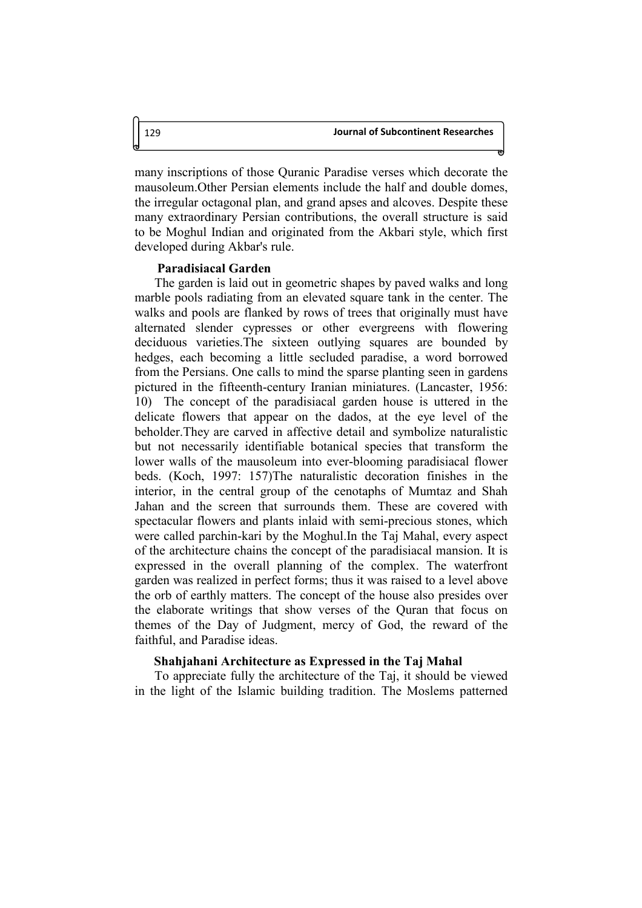many inscriptions of those Quranic Paradise verses which decorate the mausoleum.Other Persian elements include the half and double domes, the irregular octagonal plan, and grand apses and alcoves. Despite these many extraordinary Persian contributions, the overall structure is said to be Moghul Indian and originated from the Akbari style, which first developed during Akbar's rule.

### **Paradisiacal Garden**

The garden is laid out in geometric shapes by paved walks and long marble pools radiating from an elevated square tank in the center. The walks and pools are flanked by rows of trees that originally must have alternated slender cypresses or other evergreens with flowering deciduous varieties.The sixteen outlying squares are bounded by hedges, each becoming a little secluded paradise, a word borrowed from the Persians. One calls to mind the sparse planting seen in gardens pictured in the fifteenth-century Iranian miniatures. (Lancaster, 1956: 10) The concept of the paradisiacal garden house is uttered in the delicate flowers that appear on the dados, at the eye level of the beholder.They are carved in affective detail and symbolize naturalistic but not necessarily identifiable botanical species that transform the lower walls of the mausoleum into ever-blooming paradisiacal flower beds. (Koch, 1997: 157)The naturalistic decoration finishes in the interior, in the central group of the cenotaphs of Mumtaz and Shah Jahan and the screen that surrounds them. These are covered with spectacular flowers and plants inlaid with semi-precious stones, which were called parchin-kari by the Moghul.In the Taj Mahal, every aspect of the architecture chains the concept of the paradisiacal mansion. It is expressed in the overall planning of the complex. The waterfront garden was realized in perfect forms; thus it was raised to a level above the orb of earthly matters. The concept of the house also presides over the elaborate writings that show verses of the Quran that focus on themes of the Day of Judgment, mercy of God, the reward of the faithful, and Paradise ideas.

#### **Shahjahani Architecture as Expressed in the Taj Mahal**

To appreciate fully the architecture of the Taj, it should be viewed in the light of the Islamic building tradition. The Moslems patterned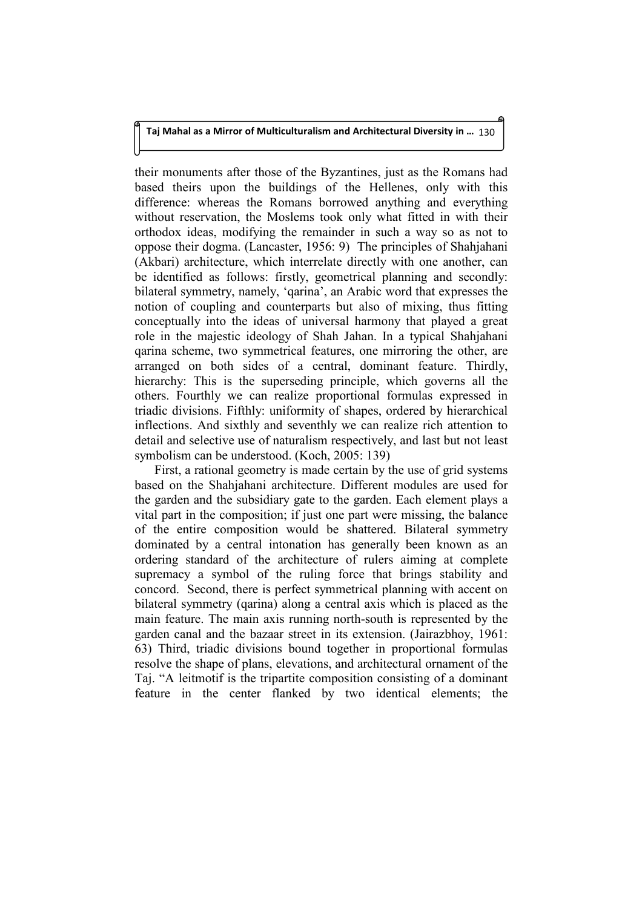their monuments after those of the Byzantines, just as the Romans had based theirs upon the buildings of the Hellenes, only with this difference: whereas the Romans borrowed anything and everything without reservation, the Moslems took only what fitted in with their orthodox ideas, modifying the remainder in such a way so as not to oppose their dogma. (Lancaster, 1956: 9) The principles of Shahjahani (Akbari) architecture, which interrelate directly with one another, can be identified as follows: firstly, geometrical planning and secondly: bilateral symmetry, namely, 'qarina', an Arabic word that expresses the notion of coupling and counterparts but also of mixing, thus fitting conceptually into the ideas of universal harmony that played a great role in the majestic ideology of Shah Jahan. In a typical Shahjahani qarina scheme, two symmetrical features, one mirroring the other, are arranged on both sides of a central, dominant feature. Thirdly, hierarchy: This is the superseding principle, which governs all the others. Fourthly we can realize proportional formulas expressed in triadic divisions. Fifthly: uniformity of shapes, ordered by hierarchical inflections. And sixthly and seventhly we can realize rich attention to detail and selective use of naturalism respectively, and last but not least symbolism can be understood. (Koch, 2005: 139)

First, a rational geometry is made certain by the use of grid systems based on the Shahjahani architecture. Different modules are used for the garden and the subsidiary gate to the garden. Each element plays a vital part in the composition; if just one part were missing, the balance of the entire composition would be shattered. Bilateral symmetry dominated by a central intonation has generally been known as an ordering standard of the architecture of rulers aiming at complete supremacy a symbol of the ruling force that brings stability and concord. Second, there is perfect symmetrical planning with accent on bilateral symmetry (qarina) along a central axis which is placed as the main feature. The main axis running north-south is represented by the garden canal and the bazaar street in its extension. (Jairazbhoy, 1961: 63) Third, triadic divisions bound together in proportional formulas resolve the shape of plans, elevations, and architectural ornament of the Taj. "A leitmotif is the tripartite composition consisting of a dominant feature in the center flanked by two identical elements; the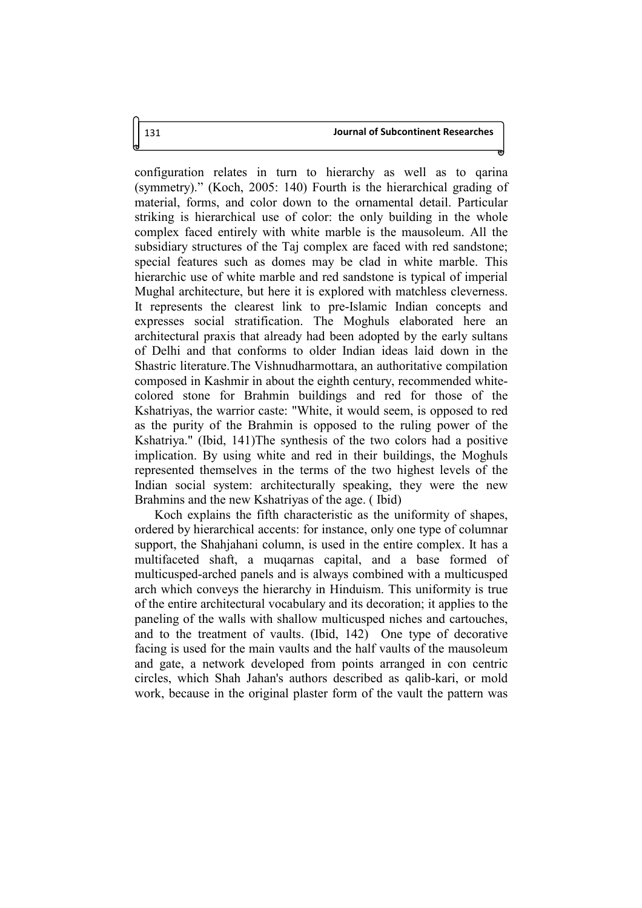configuration relates in turn to hierarchy as well as to qarina (symmetry)." (Koch, 2005: 140) Fourth is the hierarchical grading of material, forms, and color down to the ornamental detail. Particular striking is hierarchical use of color: the only building in the whole complex faced entirely with white marble is the mausoleum. All the subsidiary structures of the Taj complex are faced with red sandstone; special features such as domes may be clad in white marble. This hierarchic use of white marble and red sandstone is typical of imperial Mughal architecture, but here it is explored with matchless cleverness. It represents the clearest link to pre-Islamic Indian concepts and expresses social stratification. The Moghuls elaborated here an architectural praxis that already had been adopted by the early sultans of Delhi and that conforms to older Indian ideas laid down in the Shastric literature.The Vishnudharmottara, an authoritative compilation composed in Kashmir in about the eighth century, recommended whitecolored stone for Brahmin buildings and red for those of the Kshatriyas, the warrior caste: "White, it would seem, is opposed to red as the purity of the Brahmin is opposed to the ruling power of the Kshatriya." (Ibid, 141)The synthesis of the two colors had a positive implication. By using white and red in their buildings, the Moghuls represented themselves in the terms of the two highest levels of the Indian social system: architecturally speaking, they were the new Brahmins and the new Kshatriyas of the age. ( Ibid)

Koch explains the fifth characteristic as the uniformity of shapes, ordered by hierarchical accents: for instance, only one type of columnar support, the Shahjahani column, is used in the entire complex. It has a multifaceted shaft, a muqarnas capital, and a base formed of multicusped-arched panels and is always combined with a multicusped arch which conveys the hierarchy in Hinduism. This uniformity is true of the entire architectural vocabulary and its decoration; it applies to the paneling of the walls with shallow multicusped niches and cartouches, and to the treatment of vaults. (Ibid, 142) One type of decorative facing is used for the main vaults and the half vaults of the mausoleum and gate, a network developed from points arranged in con centric circles, which Shah Jahan's authors described as qalib-kari, or mold work, because in the original plaster form of the vault the pattern was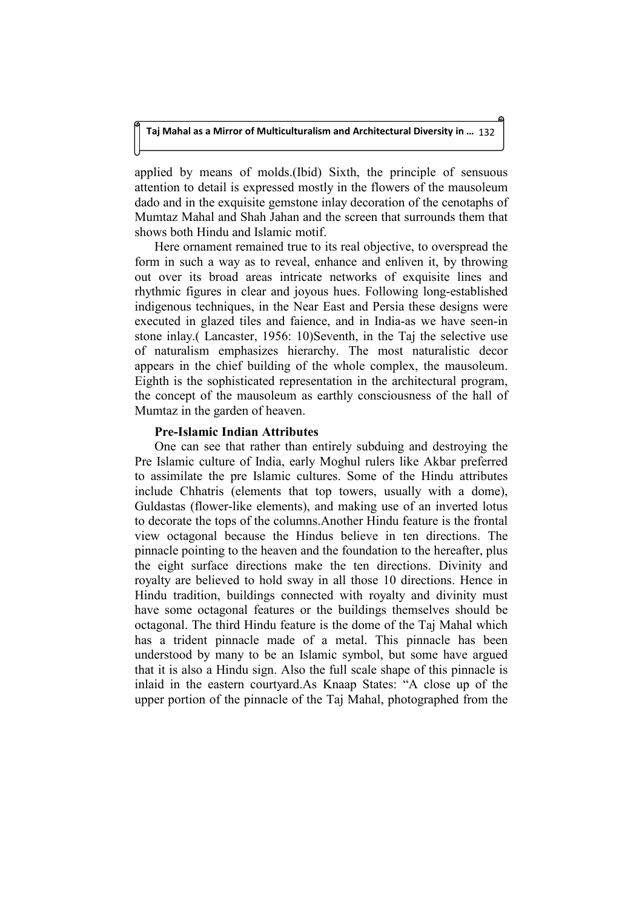applied by means of molds.(Ibid) Sixth, the principle of sensuous attention to detail is expressed mostly in the flowers of the mausoleum dado and in the exquisite gemstone inlay decoration of the cenotaphs of Mumtaz Mahal and Shah Jahan and the screen that surrounds them that shows both Hindu and Islamic motif.

Here ornament remained true to its real objective, to overspread the form in such a way as to reveal, enhance and enliven it, by throwing out over its broad areas intricate networks of exquisite lines and rhythmic figures in clear and joyous hues. Following long-established indigenous techniques, in the Near East and Persia these designs were executed in glazed tiles and faience, and in India-as we have seen-in stone inlay.( Lancaster, 1956: 10)Seventh, in the Taj the selective use of naturalism emphasizes hierarchy. The most naturalistic decor appears in the chief building of the whole complex, the mausoleum. Eighth is the sophisticated representation in the architectural program, the concept of the mausoleum as earthly consciousness of the hall of Mumtaz in the garden of heaven.

# **Pre-Islamic Indian Attributes**

One can see that rather than entirely subduing and destroying the Pre Islamic culture of India, early Moghul rulers like Akbar preferred to assimilate the pre Islamic cultures. Some of the Hindu attributes include Chhatris (elements that top towers, usually with a dome), Guldastas (flower-like elements), and making use of an inverted lotus to decorate the tops of the columns.Another Hindu feature is the frontal view octagonal because the Hindus believe in ten directions. The pinnacle pointing to the heaven and the foundation to the hereafter, plus the eight surface directions make the ten directions. Divinity and royalty are believed to hold sway in all those 10 directions. Hence in Hindu tradition, buildings connected with royalty and divinity must have some octagonal features or the buildings themselves should be octagonal. The third Hindu feature is the dome of the Taj Mahal which has a trident pinnacle made of a metal. This pinnacle has been understood by many to be an Islamic symbol, but some have argued that it is also a Hindu sign. Also the full scale shape of this pinnacle is inlaid in the eastern courtyard.As Knaap States: "A close up of the upper portion of the pinnacle of the Taj Mahal, photographed from the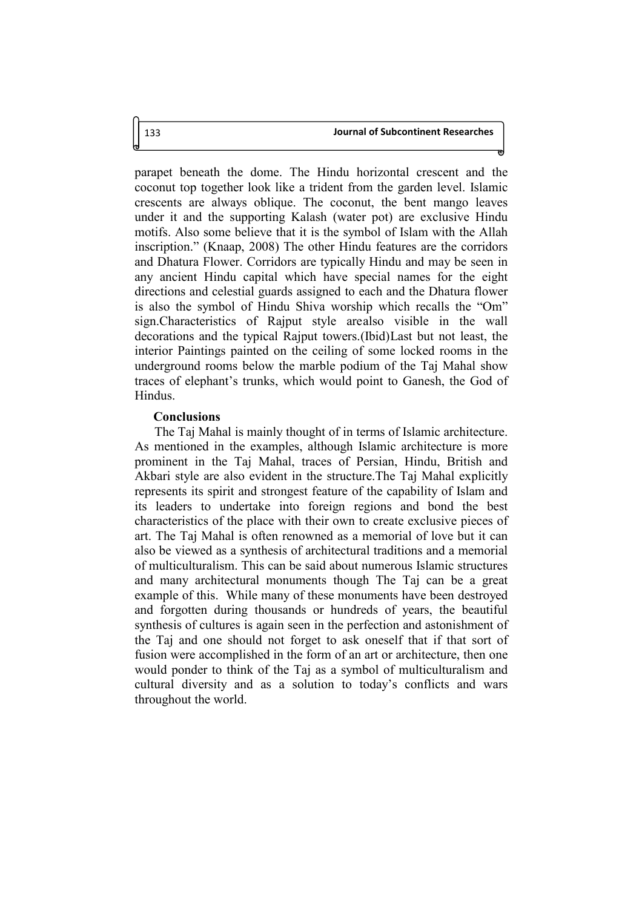parapet beneath the dome. The Hindu horizontal crescent and the coconut top together look like a trident from the garden level. Islamic crescents are always oblique. The coconut, the bent mango leaves under it and the supporting Kalash (water pot) are exclusive Hindu motifs. Also some believe that it is the symbol of Islam with the Allah inscription." (Knaap, 2008) The other Hindu features are the corridors and Dhatura Flower. Corridors are typically Hindu and may be seen in any ancient Hindu capital which have special names for the eight directions and celestial guards assigned to each and the Dhatura flower is also the symbol of Hindu Shiva worship which recalls the "Om" sign.Characteristics of Rajput style arealso visible in the wall decorations and the typical Rajput towers.(Ibid)Last but not least, the interior Paintings painted on the ceiling of some locked rooms in the underground rooms below the marble podium of the Taj Mahal show traces of elephant's trunks, which would point to Ganesh, the God of Hindus.

### **Conclusions**

The Taj Mahal is mainly thought of in terms of Islamic architecture. As mentioned in the examples, although Islamic architecture is more prominent in the Taj Mahal, traces of Persian, Hindu, British and Akbari style are also evident in the structure.The Taj Mahal explicitly represents its spirit and strongest feature of the capability of Islam and its leaders to undertake into foreign regions and bond the best characteristics of the place with their own to create exclusive pieces of art. The Taj Mahal is often renowned as a memorial of love but it can also be viewed as a synthesis of architectural traditions and a memorial of multiculturalism. This can be said about numerous Islamic structures and many architectural monuments though The Taj can be a great example of this. While many of these monuments have been destroyed and forgotten during thousands or hundreds of years, the beautiful synthesis of cultures is again seen in the perfection and astonishment of the Taj and one should not forget to ask oneself that if that sort of fusion were accomplished in the form of an art or architecture, then one would ponder to think of the Taj as a symbol of multiculturalism and cultural diversity and as a solution to today's conflicts and wars throughout the world.